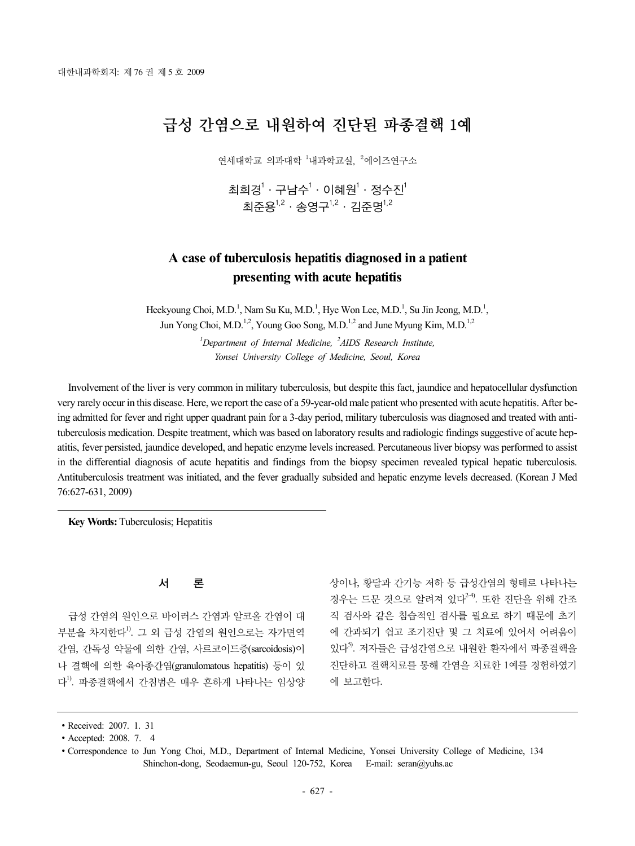# 급성 간염으로 내원하여 진단된 파종결핵 1예

연세대학교 의과대학 <sup>1</sup>내과학교실, <sup>2</sup>에이즈연구소

최희경 $^1$  · 구남수 $^1$  · 이혜원 $^1$  · 정수진 $^1$ 최준용<sup>1,2</sup> · 송영구<sup>1,2</sup> · 김준명<sup>1,2</sup>

## **A case of tuberculosis hepatitis diagnosed in a patient presenting with acute hepatitis**

Heekyoung Choi, M.D.<sup>1</sup>, Nam Su Ku, M.D.<sup>1</sup>, Hye Won Lee, M.D.<sup>1</sup>, Su Jin Jeong, M.D.<sup>1</sup>, Jun Yong Choi, M.D.<sup>1,2</sup>, Young Goo Song, M.D.<sup>1,2</sup> and June Myung Kim, M.D.<sup>1,2</sup>

> *1 Department of Internal Medicine, <sup>2</sup> AIDS Research Institute, Yonsei University College of Medicine, Seoul, Korea*

Involvement of the liver is very common in military tuberculosis, but despite this fact, jaundice and hepatocellular dysfunction very rarely occur in this disease. Here, we report the case of a 59-year-old male patient who presented with acute hepatitis. After being admitted for fever and right upper quadrant pain for a 3-day period, military tuberculosis was diagnosed and treated with antituberculosis medication. Despite treatment, which was based on laboratory results and radiologic findings suggestive of acute hepatitis, fever persisted, jaundice developed, and hepatic enzyme levels increased. Percutaneous liver biopsy was performed to assist in the differential diagnosis of acute hepatitis and findings from the biopsy specimen revealed typical hepatic tuberculosis. Antituberculosis treatment was initiated, and the fever gradually subsided and hepatic enzyme levels decreased. (Korean J Med 76:627-631, 2009)

**Key Words:** Tuberculosis; Hepatitis

#### 서 론

급성 간염의 원인으로 바이러스 간염과 알코올 간염이 대 부분을 차지한다<sup>!)</sup>. 그 외 급성 간염의 원인으로는 자가면역 간염, 간독성 약물에 의한 간염, 사르코이드증(sarcoidosis)이 나 결핵에 의한 육아종간염(granulomatous hepatitis) 등이 있 다1) . 파종결핵에서 간침범은 매우 흔하게 나타나는 임상양 상이나, 황달과 간기능 저하 등 급성간염의 형태로 나타나는 경우는 드문 것으로 알려져 있다<sup>24)</sup>. 또한 진단을 위해 간조 직 검사와 같은 침습적인 검사를 필요로 하기 때문에 초기 에 간과되기 쉽고 조기진단 및 그 치료에 있어서 어려움이 있다<sup>5)</sup>. 저자들은 급성간염으로 내원한 환자에서 파종결핵을 진단하고 결핵치료를 통해 간염을 치료한 1예를 경험하였기 에 보고한다.

<sup>∙</sup>Received: 2007. 1. 31

<sup>∙</sup>Accepted: 2008. 7. 4

<sup>∙</sup>Correspondence to Jun Yong Choi, M.D., Department of Internal Medicine, Yonsei University College of Medicine, 134 Shinchon-dong, Seodaemun-gu, Seoul 120-752, Korea E-mail: seran@yuhs.ac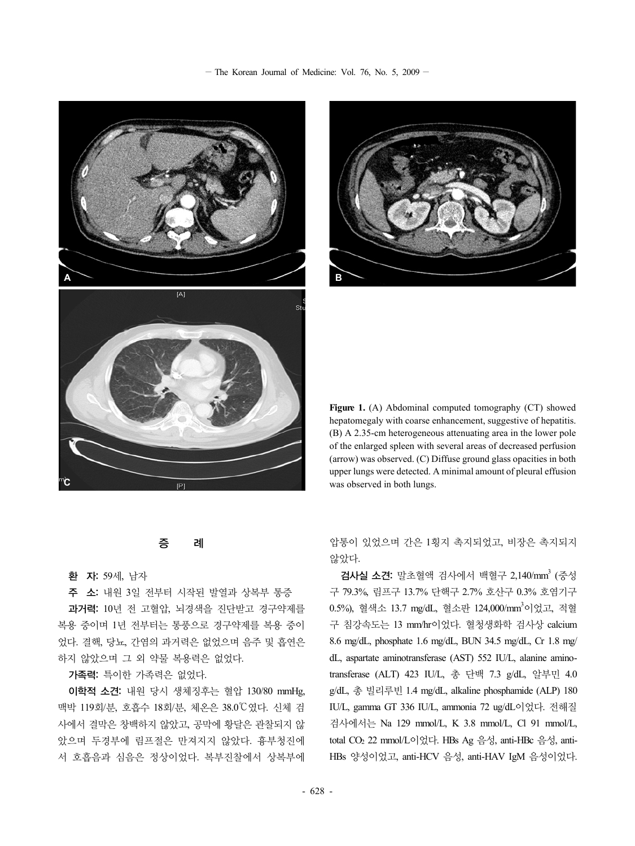$-$  The Korean Journal of Medicine: Vol. 76, No. 5, 2009  $-$ 





**Figure 1.** (A) Abdominal computed tomography (CT) showed hepatomegaly with coarse enhancement, suggestive of hepatitis. (B) A 2.35-cm heterogeneous attenuating area in the lower pole of the enlarged spleen with several areas of decreased perfusion (arrow) was observed. (C) Diffuse ground glass opacities in both upper lungs were detected. A minimal amount of pleural effusion was observed in both lungs.

증 례

#### 환 자: 59세, 남자

주 소: 내원 3일 전부터 시작된 발열과 상복부 통증

과거력: 10년 전 고혈압, 뇌경색을 진단받고 경구약제를 복용 중이며 1년 전부터는 통풍으로 경구약제를 복용 중이 었다. 결핵, 당뇨, 간염의 과거력은 없었으며 음주 및 흡연은 하지 않았으며 그 외 약물 복용력은 없었다.

#### 가족력: 특이한 가족력은 없었다.

이학적 소견: 내원 당시 생체징후는 혈압 130/80 mmHg, 맥박 119회/분, 호흡수 18회/분, 체온은 38.0℃였다. 신체 검 사에서 결막은 창백하지 않았고, 공막에 황달은 관찰되지 않 았으며 두경부에 림프절은 만져지지 않았다. 흉부청진에 서 호흡음과 심음은 정상이었다. 복부진찰에서 상복부에

압통이 있었으며 간은 1횡지 촉지되었고, 비장은 촉지되지 않았다.

검사실 소견: 말초혈액 검사에서 백혈구 2,140/mm3 (중성 구 79.3%, 림프구 13.7% 단핵구 2.7% 호산구 0.3% 호염기구 0.5%), 혈색소 13.7 mg/dL, 혈소판 124,000/mm<sup>3</sup>이었고, 적혈 구 침강속도는 13 mm/hr이었다. 혈청생화학 검사상 calcium 8.6 mg/dL, phosphate 1.6 mg/dL, BUN 34.5 mg/dL, Cr 1.8 mg/ dL, aspartate aminotransferase (AST) 552 IU/L, alanine aminotransferase (ALT) 423 IU/L, 총 단백 7.3 g/dL, 알부민 4.0 g/dL, 총 빌리루빈 1.4 mg/dL, alkaline phosphamide (ALP) 180 IU/L, gamma GT 336 IU/L, ammonia 72 ug/dL이었다. 전해질 검사에서는 Na 129 mmol/L, K 3.8 mmol/L, Cl 91 mmol/L, total CO2 22 mmol/L이었다. HBs Ag 음성, anti-HBc 음성, anti-HBs 양성이었고, anti-HCV 음성, anti-HAV IgM 음성이었다.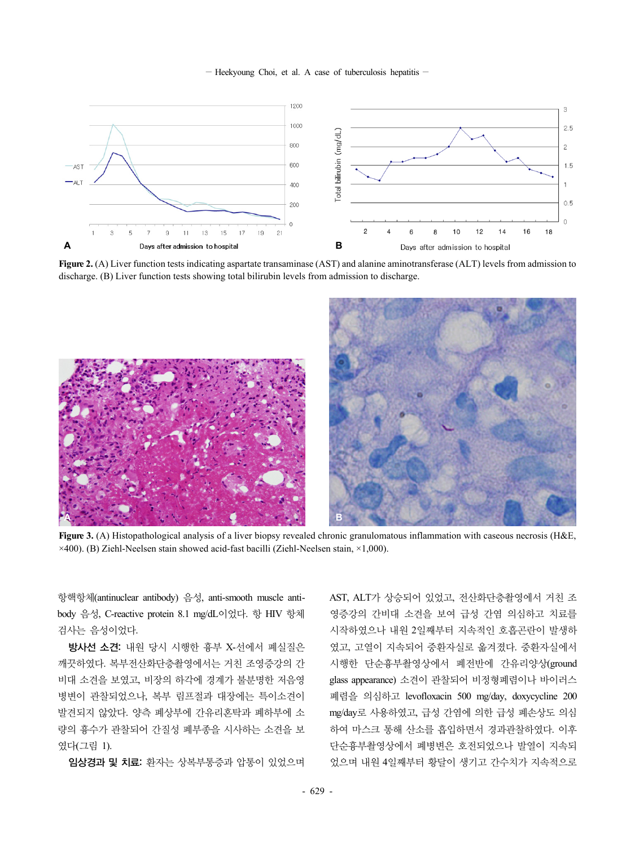$-$  Heekyoung Choi, et al. A case of tuberculosis hepatitis  $-$ 



**Figure 2.** (A) Liver function tests indicating aspartate transaminase (AST) and alanine aminotransferase (ALT) levels from admission to discharge. (B) Liver function tests showing total bilirubin levels from admission to discharge.



**Figure 3.** (A) Histopathological analysis of a liver biopsy revealed chronic granulomatous inflammation with caseous necrosis (H&E,  $\times$ 400). (B) Ziehl-Neelsen stain showed acid-fast bacilli (Ziehl-Neelsen stain,  $\times$ 1,000).

항핵항체(antinuclear antibody) 음성, anti-smooth muscle antibody 음성, C-reactive protein 8.1 mg/dL이었다. 항 HIV 항체 검사는 음성이었다.

방사선 소견: 내원 당시 시행한 흉부 X-선에서 폐실질은 깨끗하였다. 복부전산화단층촬영에서는 거친 조영증강의 간 비대 소견을 보였고, 비장의 하각에 경계가 불분명한 저음영 병변이 관찰되었으나, 복부 림프절과 대장에는 특이소견이 발견되지 않았다. 양측 폐상부에 간유리혼탁과 폐하부에 소 량의 흉수가 관찰되어 간질성 폐부종을 시사하는 소견을 보 였다(그림 1).

임상경과 및 치료: 환자는 상복부통증과 압통이 있었으며

AST, ALT가 상승되어 있었고, 전산화단층촬영에서 거친 조 영증강의 간비대 소견을 보여 급성 간염 의심하고 치료를 시작하였으나 내원 2일째부터 지속적인 호흡곤란이 발생하 였고, 고열이 지속되어 중환자실로 옮겨졌다. 중환자실에서 시행한 단순흉부촬영상에서 폐전반에 간유리양상(ground glass appearance) 소견이 관찰되어 비정형폐렴이나 바이러스 폐렴을 의심하고 levofloxacin 500 mg/day, doxycycline 200 mg/day로 사용하였고, 급성 간염에 의한 급성 폐손상도 의심 하여 마스크 통해 산소를 흡입하면서 경과관찰하였다. 이후 단순흉부촬영상에서 폐병변은 호전되었으나 발열이 지속되 었으며 내원 4일째부터 황달이 생기고 간수치가 지속적으로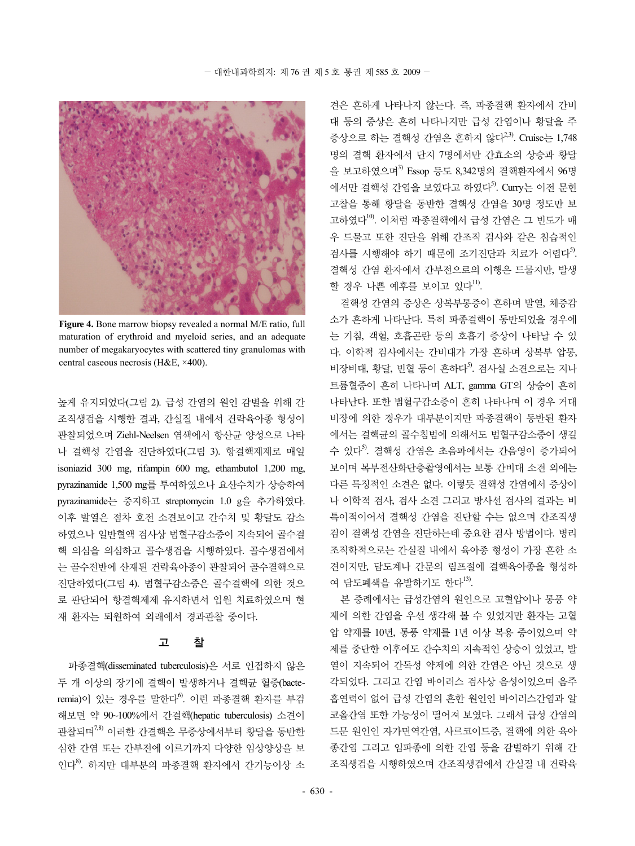

**Figure 4.** Bone marrow biopsy revealed a normal M/E ratio, full maturation of erythroid and myeloid series, and an adequate number of megakaryocytes with scattered tiny granulomas with central caseous necrosis (H&E, ×400).

높게 유지되었다(그림 2). 급성 간염의 원인 감별을 위해 간 조직생검을 시행한 결과, 간실질 내에서 건락육아종 형성이 관찰되었으며 Ziehl-Neelsen 염색에서 항산균 양성으로 나타 나 결핵성 간염을 진단하였다(그림 3). 항결핵제제로 매일 isoniazid 300 mg, rifampin 600 mg, ethambutol 1,200 mg, pyrazinamide 1,500 mg를 투여하였으나 요산수치가 상승하여 pyrazinamide는 중지하고 streptomycin 1.0 g을 추가하였다. 이후 발열은 점차 호전 소견보이고 간수치 및 황달도 감소 하였으나 일반혈액 검사상 범혈구감소증이 지속되어 골수결 핵 의심을 의심하고 골수생검을 시행하였다. 골수생검에서 는 골수전반에 산재된 건락육아종이 관찰되어 골수결핵으로 진단하였다(그림 4). 범혈구감소증은 골수결핵에 의한 것으 로 판단되어 항결핵제제 유지하면서 입원 치료하였으며 현 재 환자는 퇴원하여 외래에서 경과관찰 중이다.

#### 고 찰

파종결핵(disseminated tuberculosis)은 서로 인접하지 않은 두 개 이상의 장기에 결핵이 발생하거나 결핵균 혈증(bacteremia)이 있는 경우를 말한다<sup>6)</sup>. 이런 파종결핵 환자를 부검 해보면 약 90~100%에서 간결핵(hepatic tuberculosis) 소견이 관찰되며7,8) 이러한 간결핵은 무증상에서부터 황달을 동반한 심한 간염 또는 간부전에 이르기까지 다양한 임상양상을 보 인다8) . 하지만 대부분의 파종결핵 환자에서 간기능이상 소

견은 흔하게 나타나지 않는다. 즉, 파종결핵 환자에서 간비 대 등의 증상은 흔히 나타나지만 급성 간염이나 황달을 주 증상으로 하는 결핵성 간염은 흔하지 않다<sup>2,3)</sup>. Cruise는 1,748 명의 결핵 환자에서 단지 7명에서만 간효소의 상승과 황달 을 보고하였으며<sup>3)</sup> Essop 등도 8.342명의 결핵화자에서 96명 에서만 결핵성 간염을 보였다고 하였다<sup>5)</sup>. Curry는 이전 문헌 고찰을 통해 황달을 동반한 결핵성 간염을 30명 정도만 보 고하였다10). 이처럼 파종결핵에서 급성 간염은 그 빈도가 매 우 드물고 또한 진단을 위해 간조직 검사와 같은 침습적인 검사를 시행해야 하기 때문에 조기진단과 치료가 어렵다<sup>5</sup>. 결핵성 간염 환자에서 간부전으로의 이행은 드물지만, 발생 할 경우 나쁜 예후를 보이고 있다 $^{\rm 11)}$ .

결핵성 간염의 증상은 상복부통증이 흔하며 발열, 체중감 소가 흔하게 나타난다. 특히 파종결핵이 동반되었을 경우에 는 기침, 객혈, 호흡곤란 등의 호흡기 증상이 나타날 수 있 다. 이학적 검사에서는 간비대가 가장 흔하며 상복부 압통, 비장비대, 황달, 빈혈 등이 흔하다<sup>5)</sup>. 검사실 소견으로는 저나 트륨혈증이 흔히 나타나며 ALT, gamma GT의 상승이 흔히 나타난다. 또한 범혈구감소증이 흔히 나타나며 이 경우 거대 비장에 의한 경우가 대부분이지만 파종결핵이 동반된 환자 에서는 결핵균의 골수침범에 의해서도 범혈구감소증이 생길 수 있다<sup>5)</sup>. 결핵성 간염은 초음파에서는 간음영이 증가되어 보이며 복부전산화단층촬영에서는 보통 간비대 소견 외에는 다른 특징적인 소견은 없다. 이렇듯 결핵성 간염에서 증상이 나 이학적 검사, 검사 소견 그리고 방사선 검사의 결과는 비 특이적이어서 결핵성 간염을 진단할 수는 없으며 간조직생 검이 결핵성 간염을 진단하는데 중요한 검사 방법이다. 병리 조직학적으로는 간실질 내에서 육아종 형성이 가장 흔한 소 견이지만, 담도계나 간문의 림프절에 결핵육아종을 형성하 여 담도폐색을 유발하기도 한다 $^{13}$ .

본 증례에서는 급성간염의 원인으로 고혈압이나 통풍 약 제에 의한 간염을 우선 생각해 볼 수 있었지만 환자는 고혈 압 약제를 10년, 통풍 약제를 1년 이상 복용 중이었으며 약 제를 중단한 이후에도 간수치의 지속적인 상승이 있었고, 발 열이 지속되어 간독성 약제에 의한 간염은 아닌 것으로 생 각되었다. 그리고 간염 바이러스 검사상 음성이었으며 음주 흡연력이 없어 급성 간염의 흔한 원인인 바이러스간염과 알 코올간염 또한 가능성이 떨어져 보였다. 그래서 급성 간염의 드문 원인인 자가면역간염, 사르코이드증, 결핵에 의한 육아 종간염 그리고 임파종에 의한 간염 등을 감별하기 위해 간 조직생검을 시행하였으며 간조직생검에서 간실질 내 건락육